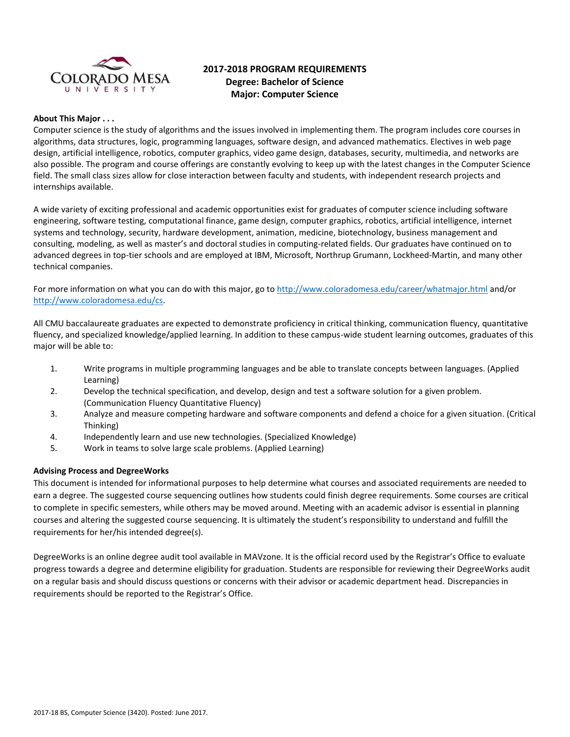

# **2017-2018 PROGRAM REQUIREMENTS Degree: Bachelor of Science Major: Computer Science**

#### **About This Major . . .**

Computer science is the study of algorithms and the issues involved in implementing them. The program includes core courses in algorithms, data structures, logic, programming languages, software design, and advanced mathematics. Electives in web page design, artificial intelligence, robotics, computer graphics, video game design, databases, security, multimedia, and networks are also possible. The program and course offerings are constantly evolving to keep up with the latest changes in the Computer Science field. The small class sizes allow for close interaction between faculty and students, with independent research projects and internships available.

A wide variety of exciting professional and academic opportunities exist for graduates of computer science including software engineering, software testing, computational finance, game design, computer graphics, robotics, artificial intelligence, internet systems and technology, security, hardware development, animation, medicine, biotechnology, business management and consulting, modeling, as well as master's and doctoral studies in computing-related fields. Our graduates have continued on to advanced degrees in top-tier schools and are employed at IBM, Microsoft, Northrup Grumann, Lockheed-Martin, and many other technical companies.

For more information on what you can do with this major, go t[o http://www.coloradomesa.edu/career/whatmajor.html](http://www.coloradomesa.edu/career/whatmajor.html) and/or [http://www.coloradomesa.edu/cs.](http://www.coloradomesa.edu/cs)

All CMU baccalaureate graduates are expected to demonstrate proficiency in critical thinking, communication fluency, quantitative fluency, and specialized knowledge/applied learning. In addition to these campus-wide student learning outcomes, graduates of this major will be able to:

- 1. Write programs in multiple programming languages and be able to translate concepts between languages. (Applied Learning)
- 2. Develop the technical specification, and develop, design and test a software solution for a given problem. (Communication Fluency Quantitative Fluency)
- 3. Analyze and measure competing hardware and software components and defend a choice for a given situation. (Critical Thinking)
- 4. Independently learn and use new technologies. (Specialized Knowledge)
- 5. Work in teams to solve large scale problems. (Applied Learning)

#### **Advising Process and DegreeWorks**

This document is intended for informational purposes to help determine what courses and associated requirements are needed to earn a degree. The suggested course sequencing outlines how students could finish degree requirements. Some courses are critical to complete in specific semesters, while others may be moved around. Meeting with an academic advisor is essential in planning courses and altering the suggested course sequencing. It is ultimately the student's responsibility to understand and fulfill the requirements for her/his intended degree(s).

DegreeWorks is an online degree audit tool available in MAVzone. It is the official record used by the Registrar's Office to evaluate progress towards a degree and determine eligibility for graduation. Students are responsible for reviewing their DegreeWorks audit on a regular basis and should discuss questions or concerns with their advisor or academic department head. Discrepancies in requirements should be reported to the Registrar's Office.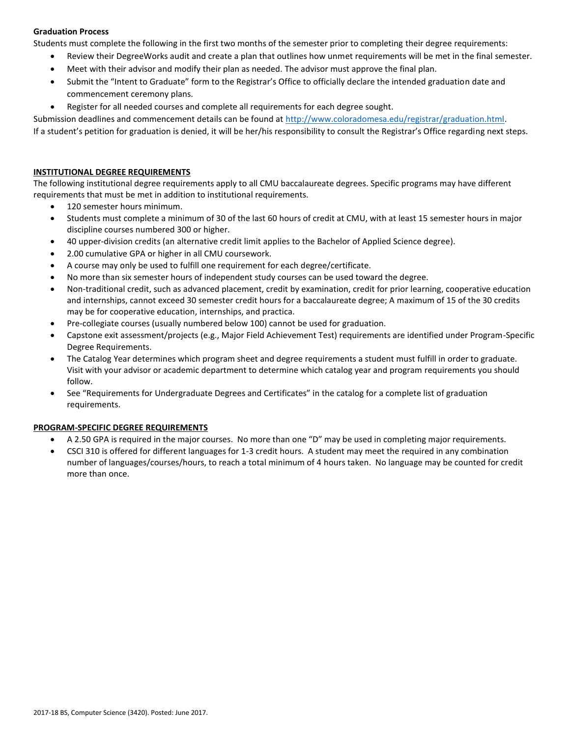# **Graduation Process**

Students must complete the following in the first two months of the semester prior to completing their degree requirements:

- Review their DegreeWorks audit and create a plan that outlines how unmet requirements will be met in the final semester.
- Meet with their advisor and modify their plan as needed. The advisor must approve the final plan.
- Submit the "Intent to Graduate" form to the Registrar's Office to officially declare the intended graduation date and commencement ceremony plans.
- Register for all needed courses and complete all requirements for each degree sought.

Submission deadlines and commencement details can be found at [http://www.coloradomesa.edu/registrar/graduation.html.](http://www.coloradomesa.edu/registrar/graduation.html)

If a student's petition for graduation is denied, it will be her/his responsibility to consult the Registrar's Office regarding next steps.

### **INSTITUTIONAL DEGREE REQUIREMENTS**

The following institutional degree requirements apply to all CMU baccalaureate degrees. Specific programs may have different requirements that must be met in addition to institutional requirements.

- 120 semester hours minimum.
- Students must complete a minimum of 30 of the last 60 hours of credit at CMU, with at least 15 semester hours in major discipline courses numbered 300 or higher.
- 40 upper-division credits (an alternative credit limit applies to the Bachelor of Applied Science degree).
- 2.00 cumulative GPA or higher in all CMU coursework.
- A course may only be used to fulfill one requirement for each degree/certificate.
- No more than six semester hours of independent study courses can be used toward the degree.
- Non-traditional credit, such as advanced placement, credit by examination, credit for prior learning, cooperative education and internships, cannot exceed 30 semester credit hours for a baccalaureate degree; A maximum of 15 of the 30 credits may be for cooperative education, internships, and practica.
- Pre-collegiate courses (usually numbered below 100) cannot be used for graduation.
- Capstone exit assessment/projects (e.g., Major Field Achievement Test) requirements are identified under Program-Specific Degree Requirements.
- The Catalog Year determines which program sheet and degree requirements a student must fulfill in order to graduate. Visit with your advisor or academic department to determine which catalog year and program requirements you should follow.
- See "Requirements for Undergraduate Degrees and Certificates" in the catalog for a complete list of graduation requirements.

# **PROGRAM-SPECIFIC DEGREE REQUIREMENTS**

- A 2.50 GPA is required in the major courses. No more than one "D" may be used in completing major requirements.
- CSCI 310 is offered for different languages for 1-3 credit hours. A student may meet the required in any combination number of languages/courses/hours, to reach a total minimum of 4 hours taken. No language may be counted for credit more than once.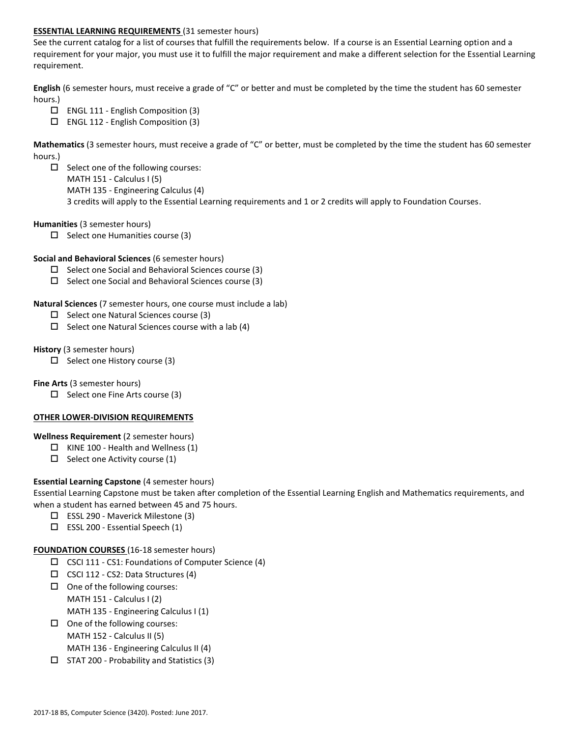### **ESSENTIAL LEARNING REQUIREMENTS** (31 semester hours)

See the current catalog for a list of courses that fulfill the requirements below. If a course is an Essential Learning option and a requirement for your major, you must use it to fulfill the major requirement and make a different selection for the Essential Learning requirement.

**English** (6 semester hours, must receive a grade of "C" or better and must be completed by the time the student has 60 semester hours.)

- $\Box$  ENGL 111 English Composition (3)
- $\Box$  ENGL 112 English Composition (3)

**Mathematics** (3 semester hours, must receive a grade of "C" or better, must be completed by the time the student has 60 semester hours.)

 $\square$  Select one of the following courses: MATH 151 - Calculus I (5) MATH 135 - Engineering Calculus (4) 3 credits will apply to the Essential Learning requirements and 1 or 2 credits will apply to Foundation Courses.

#### **Humanities** (3 semester hours)

 $\square$  Select one Humanities course (3)

#### **Social and Behavioral Sciences** (6 semester hours)

- $\Box$  Select one Social and Behavioral Sciences course (3)
- $\square$  Select one Social and Behavioral Sciences course (3)
- **Natural Sciences** (7 semester hours, one course must include a lab)
	- $\Box$  Select one Natural Sciences course (3)
	- $\square$  Select one Natural Sciences course with a lab (4)

### **History** (3 semester hours)

 $\Box$  Select one History course (3)

**Fine Arts** (3 semester hours)

 $\Box$  Select one Fine Arts course (3)

#### **OTHER LOWER-DIVISION REQUIREMENTS**

#### **Wellness Requirement** (2 semester hours)

- $\Box$  KINE 100 Health and Wellness (1)
- $\Box$  Select one Activity course (1)

# **Essential Learning Capstone** (4 semester hours)

Essential Learning Capstone must be taken after completion of the Essential Learning English and Mathematics requirements, and when a student has earned between 45 and 75 hours.

- ESSL 290 Maverick Milestone (3)
- $\square$  ESSL 200 Essential Speech (1)

# **FOUNDATION COURSES** (16-18 semester hours)

- $\Box$  CSCI 111 CS1: Foundations of Computer Science (4)
- $\Box$  CSCI 112 CS2: Data Structures (4)
- $\Box$  One of the following courses: MATH 151 - Calculus I (2) MATH 135 - Engineering Calculus I (1)
- $\Box$  One of the following courses: MATH 152 - Calculus II (5)

MATH 136 - Engineering Calculus II (4)

 $\square$  STAT 200 - Probability and Statistics (3)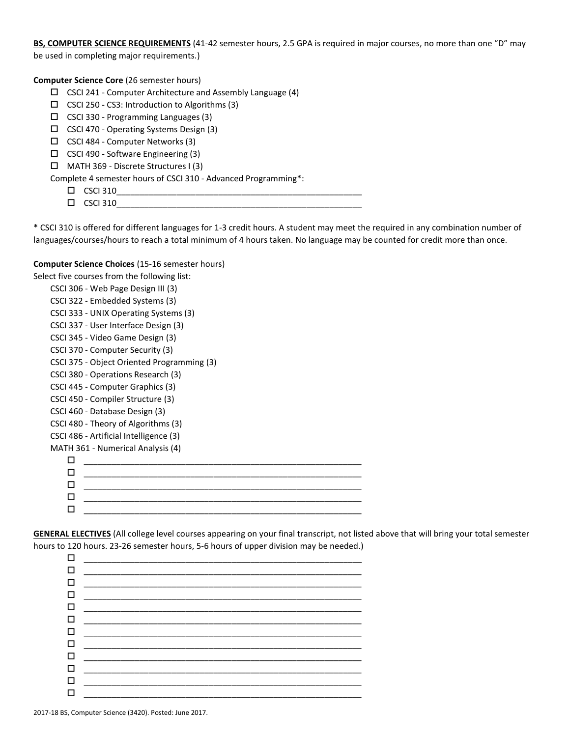**BS, COMPUTER SCIENCE REQUIREMENTS** (41-42 semester hours, 2.5 GPA is required in major courses, no more than one "D" may be used in completing major requirements.)

**Computer Science Core** (26 semester hours)

- $\Box$  CSCI 241 Computer Architecture and Assembly Language (4)
- $\square$  CSCI 250 CS3: Introduction to Algorithms (3)
- $\square$  CSCI 330 Programming Languages (3)
- $\Box$  CSCI 470 Operating Systems Design (3)
- CSCI 484 Computer Networks (3)
- $\square$  CSCI 490 Software Engineering (3)
- MATH 369 Discrete Structures I (3)

Complete 4 semester hours of CSCI 310 - Advanced Programming\*:

- $\square$  CSCI 310
- $\square$  CSCI 310

\* CSCI 310 is offered for different languages for 1-3 credit hours. A student may meet the required in any combination number of languages/courses/hours to reach a total minimum of 4 hours taken. No language may be counted for credit more than once.

#### **Computer Science Choices** (15-16 semester hours)

Select five courses from the following list:

CSCI 306 - Web Page Design III (3) CSCI 322 - Embedded Systems (3) CSCI 333 - UNIX Operating Systems (3) CSCI 337 - User Interface Design (3) CSCI 345 - Video Game Design (3) CSCI 370 - Computer Security (3) CSCI 375 - Object Oriented Programming (3) CSCI 380 - Operations Research (3) CSCI 445 - Computer Graphics (3) CSCI 450 - Compiler Structure (3) CSCI 460 - Database Design (3) CSCI 480 - Theory of Algorithms (3) CSCI 486 - Artificial Intelligence (3) MATH 361 - Numerical Analysis (4)

|  |  | ___________ |  |  |
|--|--|-------------|--|--|
|  |  |             |  |  |
|  |  |             |  |  |
|  |  |             |  |  |

**GENERAL ELECTIVES** (All college level courses appearing on your final transcript, not listed above that will bring your total semester hours to 120 hours. 23-26 semester hours, 5-6 hours of upper division may be needed.)

| □      | <u> 1980 - Johann John Stein, fransk politik (f. 1980)</u> |  |
|--------|------------------------------------------------------------|--|
| □      |                                                            |  |
| □      |                                                            |  |
| $\Box$ |                                                            |  |
| □      |                                                            |  |
| □      |                                                            |  |
| $\Box$ |                                                            |  |
| $\Box$ |                                                            |  |
| $\Box$ |                                                            |  |
| □      |                                                            |  |
| □      |                                                            |  |
| $\Box$ |                                                            |  |
|        |                                                            |  |